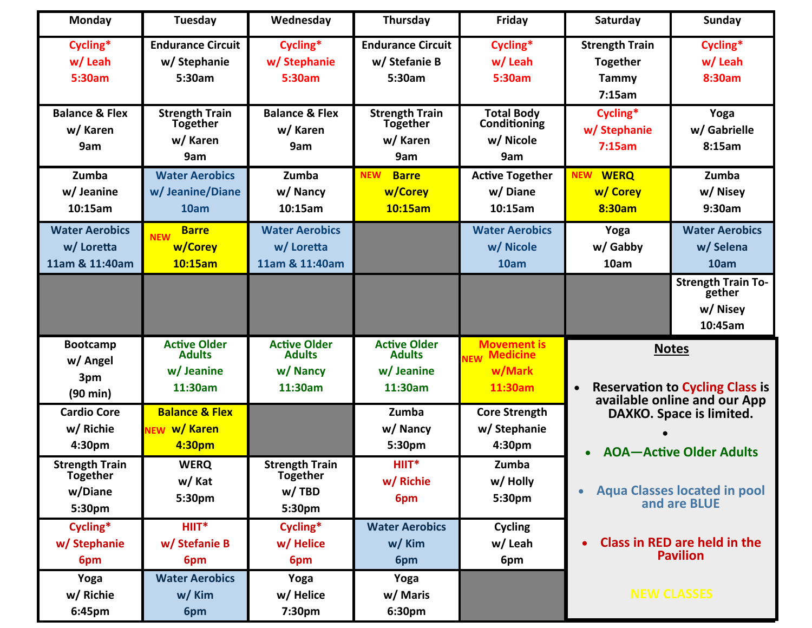| Monday                                                        | Tuesday                                                       | Wednesday                                                   | Thursday                                                     | Friday                                                                   | Saturday                                                                                                                                             | <b>Sunday</b>                                              |
|---------------------------------------------------------------|---------------------------------------------------------------|-------------------------------------------------------------|--------------------------------------------------------------|--------------------------------------------------------------------------|------------------------------------------------------------------------------------------------------------------------------------------------------|------------------------------------------------------------|
| Cycling*<br>w/ Leah<br>5:30am                                 | <b>Endurance Circuit</b><br>w/Stephanie<br>5:30am             | Cycling*<br>w/ Stephanie<br>5:30am                          | <b>Endurance Circuit</b><br>w/Stefanie B<br>5:30am           | Cycling*<br>w/ Leah<br>5:30am                                            | <b>Strength Train</b><br><b>Together</b><br>Tammy<br>7:15am                                                                                          | Cycling*<br>w/ Leah<br>8:30am                              |
| <b>Balance &amp; Flex</b><br>w/ Karen<br>9am                  | <b>Strength Train</b><br><b>Together</b><br>w/ Karen<br>9am   | <b>Balance &amp; Flex</b><br>w/ Karen<br>9am                | <b>Strength Train</b><br><b>Together</b><br>w/ Karen<br>9am  | <b>Total Body</b><br>Conditioning<br>w/ Nicole<br>9am                    | Cycling*<br>w/ Stephanie<br>7:15am                                                                                                                   | Yoga<br>w/ Gabrielle<br>8:15am                             |
| Zumba<br>w/Jeanine<br>10:15am                                 | <b>Water Aerobics</b><br>w/ Jeanine/Diane<br>10am             | Zumba<br>w/ Nancy<br>10:15am                                | <b>NEW</b><br><b>Barre</b><br>w/Corey<br>10:15am             | <b>Active Together</b><br>w/Diane<br>10:15am                             | <b>WERQ</b><br><b>NEW</b><br>w/ Corey<br>8:30am                                                                                                      | Zumba<br>w/Nisey<br>9:30am                                 |
| <b>Water Aerobics</b><br>w/ Loretta<br>11am & 11:40am         | <b>Barre</b><br><b>NEW</b><br>w/Corey<br>10:15am              | <b>Water Aerobics</b><br>w/ Loretta<br>11am & 11:40am       |                                                              | <b>Water Aerobics</b><br>w/ Nicole<br>10am                               | Yoga<br>w/ Gabby<br>10am                                                                                                                             | <b>Water Aerobics</b><br>w/Selena<br>10am                  |
|                                                               |                                                               |                                                             |                                                              |                                                                          |                                                                                                                                                      | <b>Strength Train To-</b><br>gether<br>w/ Nisey<br>10:45am |
| <b>Bootcamp</b><br>w/ Angel<br>3pm<br>$(90 \text{ min})$      | <b>Active Older</b><br><b>Adults</b><br>w/ Jeanine<br>11:30am | <b>Active Older</b><br><b>Adults</b><br>w/ Nancy<br>11:30am | <b>Active Older</b><br><b>Adults</b><br>w/Jeanine<br>11:30am | <b>Movement is</b><br><b>Medicine</b><br><b>NEW</b><br>w/Mark<br>11:30am | <b>Notes</b><br><b>Reservation to Cycling Class is</b><br>available online and our App<br>DAXKO. Space is limited.<br><b>AOA-Active Older Adults</b> |                                                            |
| <b>Cardio Core</b><br>w/ Richie<br>4:30pm                     | <b>Balance &amp; Flex</b><br>w/ Karen<br><b>NEW</b><br>4:30pm |                                                             | Zumba<br>w/ Nancy<br>5:30pm                                  | <b>Core Strength</b><br>w/Stephanie<br>4:30pm                            |                                                                                                                                                      |                                                            |
| <b>Strength Train</b><br><b>Together</b><br>w/Diane<br>5:30pm | <b>WERQ</b><br>w/ Kat<br>5:30pm                               | <b>Strength Train</b><br><b>Together</b><br>w/TBD<br>5:30pm | $HIIT*$<br>w/ Richie<br>6pm                                  | Zumba<br>w/ Holly<br>5:30pm                                              | <b>Aqua Classes located in pool</b><br>and are BLUE                                                                                                  |                                                            |
| Cycling*<br>w/ Stephanie<br>6pm                               | HIIT*<br>w/ Stefanie B<br>6pm                                 | Cycling*<br>w/Helice<br>6pm                                 | <b>Water Aerobics</b><br>w/ Kim<br>6pm                       | <b>Cycling</b><br>w/ Leah<br>6pm                                         |                                                                                                                                                      | <b>Class in RED are held in the</b><br><b>Pavilion</b>     |
| Yoga<br>w/ Richie<br>6:45pm                                   | <b>Water Aerobics</b><br>w/ Kim<br>6pm                        | Yoga<br>w/ Helice<br>7:30pm                                 | Yoga<br>w/ Maris<br>6:30pm                                   |                                                                          |                                                                                                                                                      | <b>NEW CLASSES</b>                                         |